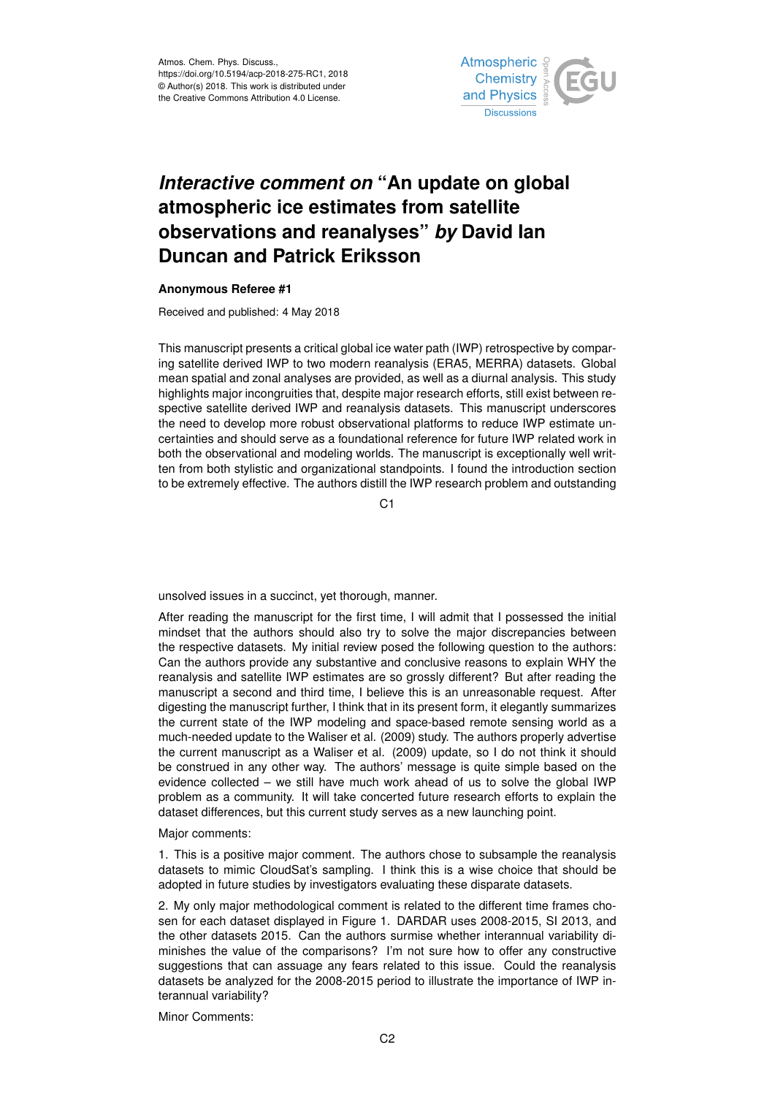

## *Interactive comment on* **"An update on global atmospheric ice estimates from satellite observations and reanalyses"** *by* **David Ian Duncan and Patrick Eriksson**

## **Anonymous Referee #1**

Received and published: 4 May 2018

This manuscript presents a critical global ice water path (IWP) retrospective by comparing satellite derived IWP to two modern reanalysis (ERA5, MERRA) datasets. Global mean spatial and zonal analyses are provided, as well as a diurnal analysis. This study highlights major incongruities that, despite major research efforts, still exist between respective satellite derived IWP and reanalysis datasets. This manuscript underscores the need to develop more robust observational platforms to reduce IWP estimate uncertainties and should serve as a foundational reference for future IWP related work in both the observational and modeling worlds. The manuscript is exceptionally well written from both stylistic and organizational standpoints. I found the introduction section to be extremely effective. The authors distill the IWP research problem and outstanding

C<sub>1</sub>

unsolved issues in a succinct, yet thorough, manner.

After reading the manuscript for the first time, I will admit that I possessed the initial mindset that the authors should also try to solve the major discrepancies between the respective datasets. My initial review posed the following question to the authors: Can the authors provide any substantive and conclusive reasons to explain WHY the reanalysis and satellite IWP estimates are so grossly different? But after reading the manuscript a second and third time, I believe this is an unreasonable request. After digesting the manuscript further, I think that in its present form, it elegantly summarizes the current state of the IWP modeling and space-based remote sensing world as a much-needed update to the Waliser et al. (2009) study. The authors properly advertise the current manuscript as a Waliser et al. (2009) update, so I do not think it should be construed in any other way. The authors' message is quite simple based on the evidence collected – we still have much work ahead of us to solve the global IWP problem as a community. It will take concerted future research efforts to explain the dataset differences, but this current study serves as a new launching point.

Major comments:

1. This is a positive major comment. The authors chose to subsample the reanalysis datasets to mimic CloudSat's sampling. I think this is a wise choice that should be adopted in future studies by investigators evaluating these disparate datasets.

2. My only major methodological comment is related to the different time frames chosen for each dataset displayed in Figure 1. DARDAR uses 2008-2015, SI 2013, and the other datasets 2015. Can the authors surmise whether interannual variability diminishes the value of the comparisons? I'm not sure how to offer any constructive suggestions that can assuage any fears related to this issue. Could the reanalysis datasets be analyzed for the 2008-2015 period to illustrate the importance of IWP interannual variability?

Minor Comments: